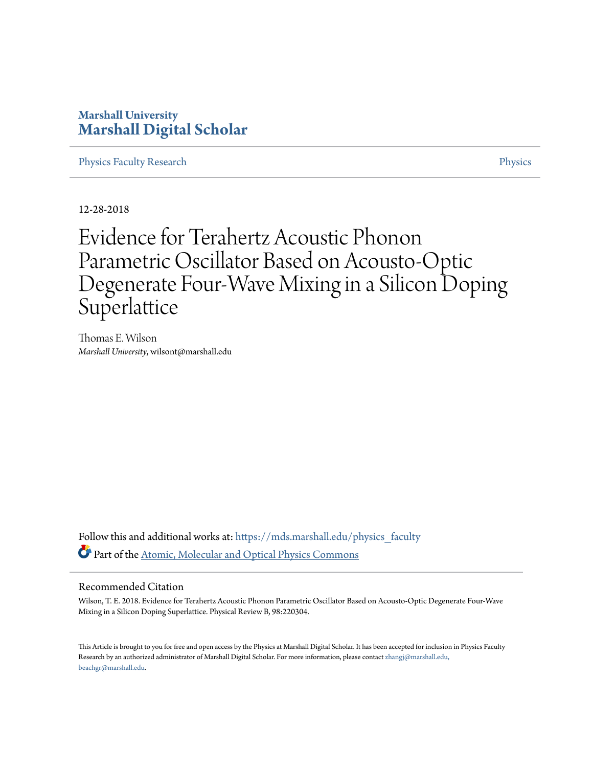## **Marshall University [Marshall Digital Scholar](https://mds.marshall.edu?utm_source=mds.marshall.edu%2Fphysics_faculty%2F86&utm_medium=PDF&utm_campaign=PDFCoverPages)**

[Physics Faculty Research](https://mds.marshall.edu/physics_faculty?utm_source=mds.marshall.edu%2Fphysics_faculty%2F86&utm_medium=PDF&utm_campaign=PDFCoverPages) **[Physics](https://mds.marshall.edu/physics?utm_source=mds.marshall.edu%2Fphysics_faculty%2F86&utm_medium=PDF&utm_campaign=PDFCoverPages)** Physics **Physics** 

12-28-2018

## Evidence for Terahertz Acoustic Phonon Parametric Oscillator Based on Acousto-Optic Degenerate Four-Wave Mixing in a Silicon Doping Superlattice

Thomas E. Wilson *Marshall University*, wilsont@marshall.edu

Follow this and additional works at: [https://mds.marshall.edu/physics\\_faculty](https://mds.marshall.edu/physics_faculty?utm_source=mds.marshall.edu%2Fphysics_faculty%2F86&utm_medium=PDF&utm_campaign=PDFCoverPages) Part of the [Atomic, Molecular and Optical Physics Commons](http://network.bepress.com/hgg/discipline/195?utm_source=mds.marshall.edu%2Fphysics_faculty%2F86&utm_medium=PDF&utm_campaign=PDFCoverPages)

## Recommended Citation

Wilson, T. E. 2018. Evidence for Terahertz Acoustic Phonon Parametric Oscillator Based on Acousto-Optic Degenerate Four-Wave Mixing in a Silicon Doping Superlattice. Physical Review B, 98:220304.

This Article is brought to you for free and open access by the Physics at Marshall Digital Scholar. It has been accepted for inclusion in Physics Faculty Research by an authorized administrator of Marshall Digital Scholar. For more information, please contact [zhangj@marshall.edu,](mailto:zhangj@marshall.edu,%20beachgr@marshall.edu) [beachgr@marshall.edu](mailto:zhangj@marshall.edu,%20beachgr@marshall.edu).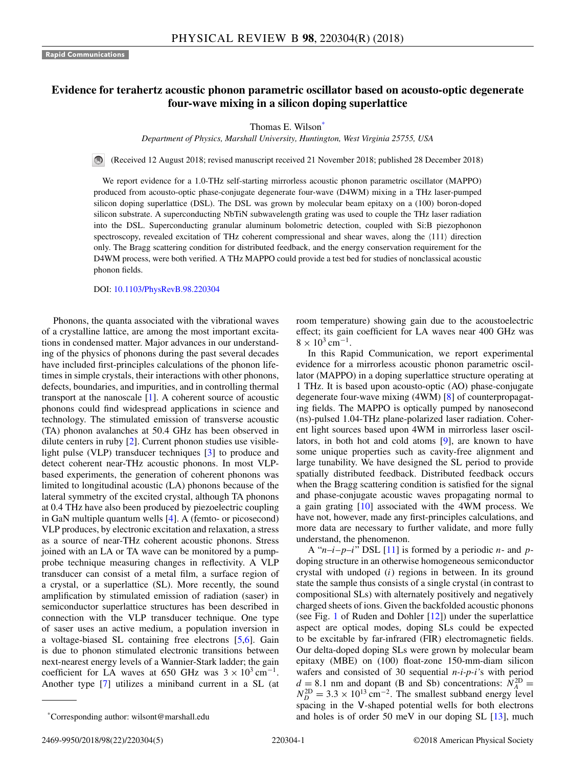## **Evidence for terahertz acoustic phonon parametric oscillator based on acousto-optic degenerate four-wave mixing in a silicon doping superlattice**

Thomas E. Wilson\*

*Department of Physics, Marshall University, Huntington, West Virginia 25755, USA*

(Received 12 August 2018; revised manuscript received 21 November 2018; published 28 December 2018)

We report evidence for a 1.0-THz self-starting mirrorless acoustic phonon parametric oscillator (MAPPO) produced from acousto-optic phase-conjugate degenerate four-wave (D4WM) mixing in a THz laser-pumped silicon doping superlattice (DSL). The DSL was grown by molecular beam epitaxy on a (100) boron-doped silicon substrate. A superconducting NbTiN subwavelength grating was used to couple the THz laser radiation into the DSL. Superconducting granular aluminum bolometric detection, coupled with Si:B piezophonon spectroscopy, revealed excitation of THz coherent compressional and shear waves, along the  $\langle 111 \rangle$  direction only. The Bragg scattering condition for distributed feedback, and the energy conservation requirement for the D4WM process, were both verified. A THz MAPPO could provide a test bed for studies of nonclassical acoustic phonon fields.

DOI: [10.1103/PhysRevB.98.220304](https://doi.org/10.1103/PhysRevB.98.220304)

Phonons, the quanta associated with the vibrational waves of a crystalline lattice, are among the most important excitations in condensed matter. Major advances in our understanding of the physics of phonons during the past several decades have included first-principles calculations of the phonon lifetimes in simple crystals, their interactions with other phonons, defects, boundaries, and impurities, and in controlling thermal transport at the nanoscale [\[1\]](#page-5-0). A coherent source of acoustic phonons could find widespread applications in science and technology. The stimulated emission of transverse acoustic (TA) phonon avalanches at 50.4 GHz has been observed in dilute centers in ruby [\[2\]](#page-5-0). Current phonon studies use visiblelight pulse (VLP) transducer techniques [\[3\]](#page-5-0) to produce and detect coherent near-THz acoustic phonons. In most VLPbased experiments, the generation of coherent phonons was limited to longitudinal acoustic (LA) phonons because of the lateral symmetry of the excited crystal, although TA phonons at 0.4 THz have also been produced by piezoelectric coupling in GaN multiple quantum wells [\[4\]](#page-5-0). A (femto- or picosecond) VLP produces, by electronic excitation and relaxation, a stress as a source of near-THz coherent acoustic phonons. Stress joined with an LA or TA wave can be monitored by a pumpprobe technique measuring changes in reflectivity. A VLP transducer can consist of a metal film, a surface region of a crystal, or a superlattice (SL). More recently, the sound amplification by stimulated emission of radiation (saser) in semiconductor superlattice structures has been described in connection with the VLP transducer technique. One type of saser uses an active medium, a population inversion in a voltage-biased SL containing free electrons [\[5,6\]](#page-5-0). Gain is due to phonon stimulated electronic transitions between next-nearest energy levels of a Wannier-Stark ladder; the gain coefficient for LA waves at 650 GHz was  $3 \times 10^3$  cm<sup>-1</sup>. Another type [\[7\]](#page-5-0) utilizes a miniband current in a SL (at

room temperature) showing gain due to the acoustoelectric effect; its gain coefficient for LA waves near 400 GHz was  $8 \times 10^3$  cm<sup>-1</sup>.

In this Rapid Communication, we report experimental evidence for a mirrorless acoustic phonon parametric oscillator (MAPPO) in a doping superlattice structure operating at 1 THz. It is based upon acousto-optic (AO) phase-conjugate degenerate four-wave mixing (4WM) [\[8\]](#page-5-0) of counterpropagating fields. The MAPPO is optically pumped by nanosecond (ns)-pulsed 1.04-THz plane-polarized laser radiation. Coherent light sources based upon 4WM in mirrorless laser oscillators, in both hot and cold atoms [\[9\]](#page-5-0), are known to have some unique properties such as cavity-free alignment and large tunability. We have designed the SL period to provide spatially distributed feedback. Distributed feedback occurs when the Bragg scattering condition is satisfied for the signal and phase-conjugate acoustic waves propagating normal to a gain grating [\[10\]](#page-5-0) associated with the 4WM process. We have not, however, made any first-principles calculations, and more data are necessary to further validate, and more fully understand, the phenomenon.

A "*n*–*i*–*p*–*i*" DSL [\[11\]](#page-5-0) is formed by a periodic *n*- and *p*doping structure in an otherwise homogeneous semiconductor crystal with undoped (*i*) regions in between. In its ground state the sample thus consists of a single crystal (in contrast to compositional SLs) with alternately positively and negatively charged sheets of ions. Given the backfolded acoustic phonons (see Fig. [1](#page-2-0) of Ruden and Dohler [\[12\]](#page-5-0)) under the superlattice aspect are optical modes, doping SLs could be expected to be excitable by far-infrared (FIR) electromagnetic fields. Our delta-doped doping SLs were grown by molecular beam epitaxy (MBE) on (100) float-zone 150-mm-diam silicon wafers and consisted of 30 sequential *n-i-p-i'*s with period  $d = 8.1$  nm and dopant (B and Sb) concentrations:  $N_A^{2D} =$  $N_D^{\text{2D}} = 3.3 \times 10^{13} \text{ cm}^{-2}$ . The smallest subband energy level spacing in the V-shaped potential wells for both electrons and holes is of order 50 meV in our doping SL [\[13\]](#page-5-0), much

<sup>\*</sup>Corresponding author: wilsont@marshall.edu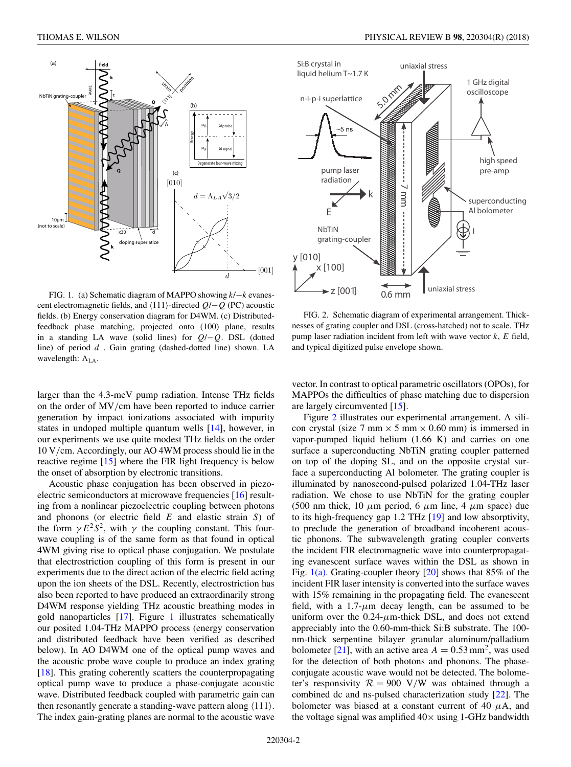<span id="page-2-0"></span>

FIG. 1. (a) Schematic diagram of MAPPO showing *k*/−*k* evanescent electromagnetic fields, and  $\langle 111 \rangle$ -directed  $Q$ /− $Q$  (PC) acoustic fields. (b) Energy conservation diagram for D4WM. (c) Distributedfeedback phase matching, projected onto (100) plane, results in a standing LA wave (solid lines) for *Q*/−*Q*. DSL (dotted line) of period *d* . Gain grating (dashed-dotted line) shown. LA wavelength:  $\Lambda_{LA}$ .

larger than the 4.3-meV pump radiation. Intense THz fields on the order of MV*/*cm have been reported to induce carrier generation by impact ionizations associated with impurity states in undoped multiple quantum wells [\[14\]](#page-5-0), however, in our experiments we use quite modest THz fields on the order 10 V*/*cm. Accordingly, our AO 4WM process should lie in the reactive regime [\[15\]](#page-5-0) where the FIR light frequency is below the onset of absorption by electronic transitions.

Acoustic phase conjugation has been observed in piezoelectric semiconductors at microwave frequencies [\[16\]](#page-5-0) resulting from a nonlinear piezoelectric coupling between photons and phonons (or electric field *E* and elastic strain *S*) of the form  $\gamma E^2 S^2$ , with  $\gamma$  the coupling constant. This fourwave coupling is of the same form as that found in optical 4WM giving rise to optical phase conjugation. We postulate that electrostriction coupling of this form is present in our experiments due to the direct action of the electric field acting upon the ion sheets of the DSL. Recently, electrostriction has also been reported to have produced an extraordinarily strong D4WM response yielding THz acoustic breathing modes in gold nanoparticles [\[17\]](#page-5-0). Figure 1 illustrates schematically our posited 1.04-THz MAPPO process (energy conservation and distributed feedback have been verified as described below). In AO D4WM one of the optical pump waves and the acoustic probe wave couple to produce an index grating [\[18\]](#page-5-0). This grating coherently scatters the counterpropagating optical pump wave to produce a phase-conjugate acoustic wave. Distributed feedback coupled with parametric gain can then resonantly generate a standing-wave pattern along  $\langle 111 \rangle$ . The index gain-grating planes are normal to the acoustic wave



FIG. 2. Schematic diagram of experimental arrangement. Thicknesses of grating coupler and DSL (cross-hatched) not to scale. THz pump laser radiation incident from left with wave vector *k*, *E* field, and typical digitized pulse envelope shown.

vector. In contrast to optical parametric oscillators (OPOs), for MAPPOs the difficulties of phase matching due to dispersion are largely circumvented [\[15\]](#page-5-0).

Figure 2 illustrates our experimental arrangement. A silicon crystal (size 7 mm  $\times$  5 mm  $\times$  0.60 mm) is immersed in vapor-pumped liquid helium (1.66 K) and carries on one surface a superconducting NbTiN grating coupler patterned on top of the doping SL, and on the opposite crystal surface a superconducting Al bolometer. The grating coupler is illuminated by nanosecond-pulsed polarized 1.04-THz laser radiation. We chose to use NbTiN for the grating coupler (500 nm thick, 10  $\mu$ m period, 6  $\mu$ m line, 4  $\mu$ m space) due to its high-frequency gap 1.2 THz [\[19\]](#page-5-0) and low absorptivity, to preclude the generation of broadband incoherent acoustic phonons. The subwavelength grating coupler converts the incident FIR electromagnetic wave into counterpropagating evanescent surface waves within the DSL as shown in Fig.  $1(a)$ . Grating-coupler theory [\[20\]](#page-5-0) shows that 85% of the incident FIR laser intensity is converted into the surface waves with 15% remaining in the propagating field. The evanescent field, with a  $1.7$ - $\mu$ m decay length, can be assumed to be uniform over the  $0.24 - \mu$ m-thick DSL, and does not extend appreciably into the 0.60-mm-thick Si:B substrate. The 100 nm-thick serpentine bilayer granular aluminum/palladium bolometer [\[21\]](#page-5-0), with an active area  $A = 0.53$  mm<sup>2</sup>, was used for the detection of both photons and phonons. The phaseconjugate acoustic wave would not be detected. The bolometer's responsivity  $R = 900$  V/W was obtained through a combined dc and ns-pulsed characterization study [\[22\]](#page-5-0). The bolometer was biased at a constant current of 40  $\mu$ A, and the voltage signal was amplified  $40\times$  using 1-GHz bandwidth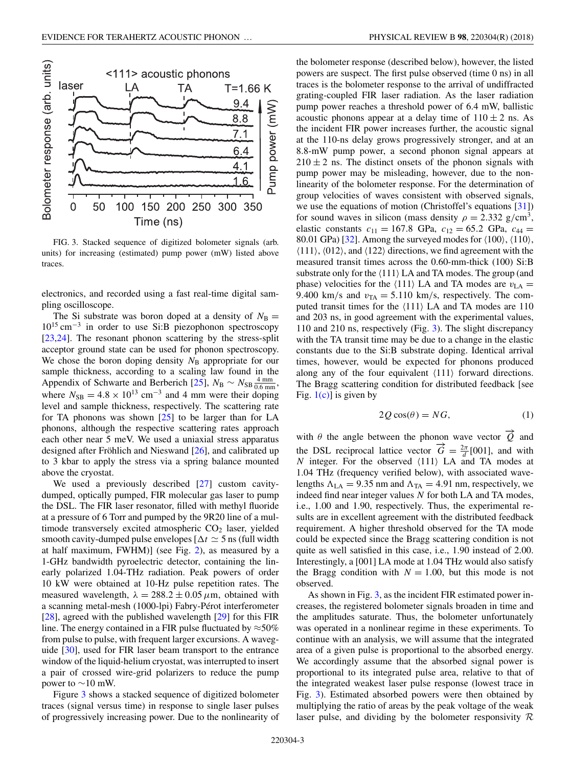<span id="page-3-0"></span>

FIG. 3. Stacked sequence of digitized bolometer signals (arb. units) for increasing (estimated) pump power (mW) listed above traces.

electronics, and recorded using a fast real-time digital sampling oscilloscope.

The Si substrate was boron doped at a density of  $N_B$  =  $10^{15}$  cm<sup>-3</sup> in order to use Si:B piezophonon spectroscopy [\[23,24\]](#page-5-0). The resonant phonon scattering by the stress-split acceptor ground state can be used for phonon spectroscopy. We chose the boron doping density  $N_B$  appropriate for our sample thickness, according to a scaling law found in the Appendix of Schwarte and Berberich [\[25\]](#page-5-0),  $N_B \sim N_{SB} \frac{4 \text{ mm}}{0.6 \text{ mm}}$ , where  $N_{SB} = 4.8 \times 10^{13}$  cm<sup>-3</sup> and 4 mm were their doping level and sample thickness, respectively. The scattering rate for TA phonons was shown [\[25\]](#page-5-0) to be larger than for LA phonons, although the respective scattering rates approach each other near 5 meV. We used a uniaxial stress apparatus designed after Fröhlich and Nieswand [\[26\]](#page-5-0), and calibrated up to 3 kbar to apply the stress via a spring balance mounted above the cryostat.

We used a previously described [\[27\]](#page-5-0) custom cavitydumped, optically pumped, FIR molecular gas laser to pump the DSL. The FIR laser resonator, filled with methyl fluoride at a pressure of 6 Torr and pumped by the 9R20 line of a multimode transversely excited atmospheric  $CO<sub>2</sub>$  laser, yielded smooth cavity-dumped pulse envelopes  $\lceil \Delta t \rceil \leq 5$  ns (full width at half maximum, FWHM)] (see Fig. [2\)](#page-2-0), as measured by a 1-GHz bandwidth pyroelectric detector, containing the linearly polarized 1.04-THz radiation. Peak powers of order 10 kW were obtained at 10-Hz pulse repetition rates. The measured wavelength,  $\lambda = 288.2 \pm 0.05 \,\mu \text{m}$ , obtained with a scanning metal-mesh (1000-lpi) Fabry-Pérot interferometer [\[28\]](#page-5-0), agreed with the published wavelength [\[29\]](#page-5-0) for this FIR line. The energy contained in a FIR pulse fluctuated by  $\approx$ 50% from pulse to pulse, with frequent larger excursions. A waveguide [\[30\]](#page-5-0), used for FIR laser beam transport to the entrance window of the liquid-helium cryostat, was interrupted to insert a pair of crossed wire-grid polarizers to reduce the pump power to  $\sim$ 10 mW.

Figure 3 shows a stacked sequence of digitized bolometer traces (signal versus time) in response to single laser pulses of progressively increasing power. Due to the nonlinearity of

the bolometer response (described below), however, the listed powers are suspect. The first pulse observed (time 0 ns) in all traces is the bolometer response to the arrival of undiffracted grating-coupled FIR laser radiation. As the laser radiation pump power reaches a threshold power of 6.4 mW, ballistic acoustic phonons appear at a delay time of  $110 \pm 2$  ns. As the incident FIR power increases further, the acoustic signal at the 110-ns delay grows progressively stronger, and at an 8.8-mW pump power, a second phonon signal appears at  $210 \pm 2$  ns. The distinct onsets of the phonon signals with pump power may be misleading, however, due to the nonlinearity of the bolometer response. For the determination of group velocities of waves consistent with observed signals, we use the equations of motion (Christoffel's equations [\[31\]](#page-5-0)) for sound waves in silicon (mass density  $\rho = 2.332$  g/cm<sup>3</sup>, elastic constants  $c_{11} = 167.8 \text{ GPa}$ ,  $c_{12} = 65.2 \text{ GPa}$ ,  $c_{44} =$ 80.01 GPa) [\[32\]](#page-5-0). Among the surveyed modes for  $\langle 100 \rangle$ ,  $\langle 110 \rangle$ ,  $\langle 111 \rangle$ ,  $\langle 012 \rangle$ , and  $\langle 122 \rangle$  directions, we find agreement with the measured transit times across the 0.60-mm-thick (100) Si:B substrate only for the  $\langle 111 \rangle$  LA and TA modes. The group (and phase) velocities for the  $\langle 111 \rangle$  LA and TA modes are  $v_{LA}$  = 9.400 km/s and  $v_{TA} = 5.110$  km/s, respectively. The computed transit times for the  $\langle 111 \rangle$  LA and TA modes are 110 and 203 ns, in good agreement with the experimental values, 110 and 210 ns, respectively (Fig. 3). The slight discrepancy with the TA transit time may be due to a change in the elastic constants due to the Si:B substrate doping. Identical arrival times, however, would be expected for phonons produced along any of the four equivalent  $\langle 111 \rangle$  forward directions. The Bragg scattering condition for distributed feedback [see Fig.  $1(c)$  is given by

$$
2Q\cos(\theta) = NG,\tag{1}
$$

with  $\theta$  the angle between the phonon wave vector  $\phi$  and the DSL reciprocal lattice vector  $\vec{G} = \frac{2\pi}{d}$  [001], and with  $N$  integer. For the observed  $\langle 111 \rangle$  LA and TA modes at 1.04 THz (frequency verified below), with associated wavelengths  $\Lambda_{LA} = 9.35$  nm and  $\Lambda_{TA} = 4.91$  nm, respectively, we indeed find near integer values *N* for both LA and TA modes, i.e., 1.00 and 1.90, respectively. Thus, the experimental results are in excellent agreement with the distributed feedback requirement. A higher threshold observed for the TA mode could be expected since the Bragg scattering condition is not quite as well satisfied in this case, i.e., 1.90 instead of 2.00. Interestingly, a [001] LA mode at 1.04 THz would also satisfy the Bragg condition with  $N = 1.00$ , but this mode is not observed.

As shown in Fig. 3, as the incident FIR estimated power increases, the registered bolometer signals broaden in time and the amplitudes saturate. Thus, the bolometer unfortunately was operated in a nonlinear regime in these experiments. To continue with an analysis, we will assume that the integrated area of a given pulse is proportional to the absorbed energy. We accordingly assume that the absorbed signal power is proportional to its integrated pulse area, relative to that of the integrated weakest laser pulse response (lowest trace in Fig. 3). Estimated absorbed powers were then obtained by multiplying the ratio of areas by the peak voltage of the weak laser pulse, and dividing by the bolometer responsivity  $\mathcal R$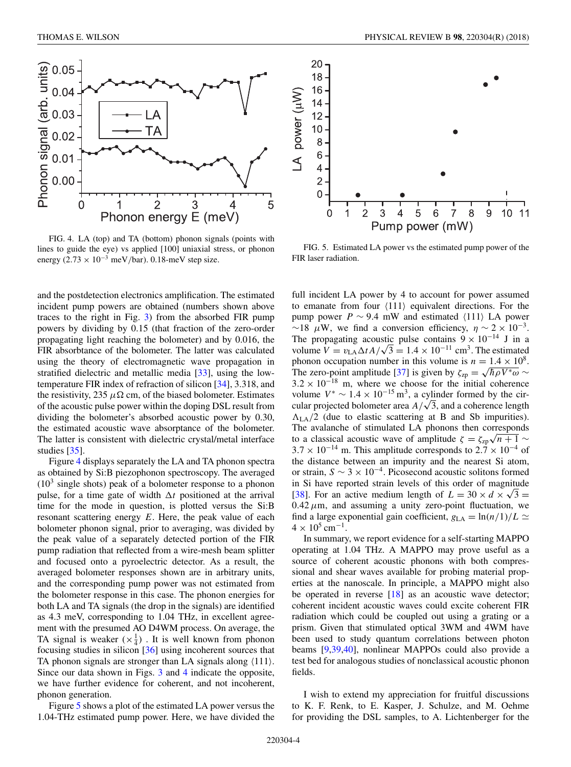

FIG. 4. LA (top) and TA (bottom) phonon signals (points with lines to guide the eye) vs applied [100] uniaxial stress, or phonon energy (2*.*73 × 10−<sup>3</sup> meV*/*bar). 0.18-meV step size.

and the postdetection electronics amplification. The estimated incident pump powers are obtained (numbers shown above traces to the right in Fig. [3\)](#page-3-0) from the absorbed FIR pump powers by dividing by 0.15 (that fraction of the zero-order propagating light reaching the bolometer) and by 0.016, the FIR absorbtance of the bolometer. The latter was calculated using the theory of electromagnetic wave propagation in stratified dielectric and metallic media [\[33\]](#page-5-0), using the lowtemperature FIR index of refraction of silicon [\[34\]](#page-5-0), 3.318, and the resistivity, 235  $\mu\Omega$  cm, of the biased bolometer. Estimates of the acoustic pulse power within the doping DSL result from dividing the bolometer's absorbed acoustic power by 0.30, the estimated acoustic wave absorptance of the bolometer. The latter is consistent with dielectric crystal/metal interface studies [\[35\]](#page-5-0).

Figure 4 displays separately the LA and TA phonon spectra as obtained by Si:B piezophonon spectroscopy. The averaged  $(10<sup>3</sup>$  single shots) peak of a bolometer response to a phonon pulse, for a time gate of width  $\Delta t$  positioned at the arrival time for the mode in question, is plotted versus the Si:B resonant scattering energy *E*. Here, the peak value of each bolometer phonon signal, prior to averaging, was divided by the peak value of a separately detected portion of the FIR pump radiation that reflected from a wire-mesh beam splitter and focused onto a pyroelectric detector. As a result, the averaged bolometer responses shown are in arbitrary units, and the corresponding pump power was not estimated from the bolometer response in this case. The phonon energies for both LA and TA signals (the drop in the signals) are identified as 4.3 meV, corresponding to 1.04 THz, in excellent agreement with the presumed AO D4WM process. On average, the TA signal is weaker  $(x_4^1)$ . It is well known from phonon focusing studies in silicon [\[36\]](#page-5-0) using incoherent sources that TA phonon signals are stronger than LA signals along  $\langle 111 \rangle$ . Since our data shown in Figs. [3](#page-3-0) and 4 indicate the opposite, we have further evidence for coherent, and not incoherent, phonon generation.

Figure 5 shows a plot of the estimated LA power versus the 1.04-THz estimated pump power. Here, we have divided the



FIG. 5. Estimated LA power vs the estimated pump power of the FIR laser radiation.

full incident LA power by 4 to account for power assumed to emanate from four  $\langle 111 \rangle$  equivalent directions. For the pump power  $P \sim 9.4$  mW and estimated  $\langle 111 \rangle$  LA power  $\sim$ 18 *μW*, we find a conversion efficiency,  $\eta \sim 2 \times 10^{-3}$ . The propagating acoustic pulse contains  $9 \times 10^{-14}$  J in a volume  $V = v_{\text{LA}}\Delta t A/\sqrt{3} = 1.4 \times 10^{-11} \text{ cm}^3$ . The estimated phonon occupation number in this volume is  $n = 1.4 \times 10^8$ . The zero-point amplitude [\[37\]](#page-5-0) is given by  $\zeta_{zp} = \sqrt{\hbar \rho V^* \omega} \sim$  $3.2 \times 10^{-18}$  m, where we choose for the initial coherence volume  $V^* \sim 1.4 \times 10^{-15}$  m<sup>3</sup>, a cylinder formed by the circular projected bolometer area  $A/\sqrt{3}$ , and a coherence length  $\Lambda_{LA}/2$  (due to elastic scattering at B and Sb impurities). The avalanche of stimulated LA phonons then corresponds to a classical acoustic wave of amplitude  $\zeta = \zeta_{\text{zp}}\sqrt{n+1}$  ∼  $3.7 \times 10^{-14}$  m. This amplitude corresponds to  $2.7 \times 10^{-4}$  of the distance between an impurity and the nearest Si atom, or strain,  $S \sim 3 \times 10^{-4}$ . Picosecond acoustic solitons formed in Si have reported strain levels of this order of magnitude [\[38\]](#page-5-0). For an active medium length of  $L = 30 \times d \times \sqrt{3} =$  $0.42 \mu$ m, and assuming a unity zero-point fluctuation, we find a large exponential gain coefficient,  $g_{LA} = \ln(n/1)/L \simeq$  $4 \times 10^5$  cm<sup>-1</sup>.

In summary, we report evidence for a self-starting MAPPO operating at 1.04 THz. A MAPPO may prove useful as a source of coherent acoustic phonons with both compressional and shear waves available for probing material properties at the nanoscale. In principle, a MAPPO might also be operated in reverse [\[18\]](#page-5-0) as an acoustic wave detector; coherent incident acoustic waves could excite coherent FIR radiation which could be coupled out using a grating or a prism. Given that stimulated optical 3WM and 4WM have been used to study quantum correlations between photon beams [\[9,39,40\]](#page-5-0), nonlinear MAPPOs could also provide a test bed for analogous studies of nonclassical acoustic phonon fields.

I wish to extend my appreciation for fruitful discussions to K. F. Renk, to E. Kasper, J. Schulze, and M. Oehme for providing the DSL samples, to A. Lichtenberger for the